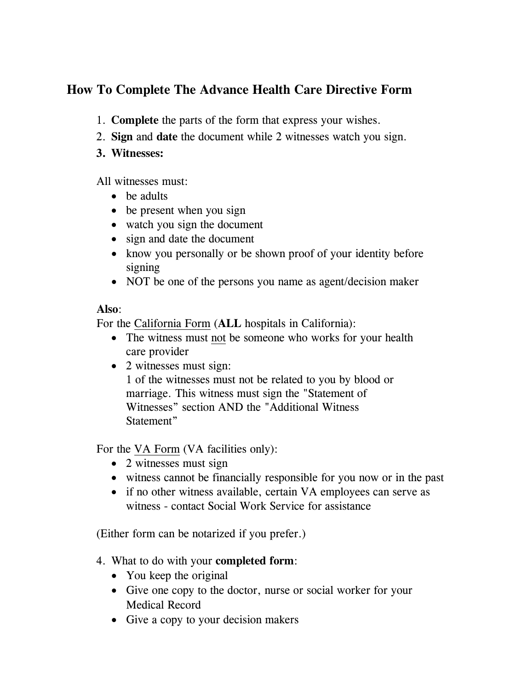## **How To Complete The Advance Health Care Directive Form**

- 1. **Complete** the parts of the form that express your wishes.
- 2. **Sign** and **date** the document while 2 witnesses watch you sign.
- **3. Witnesses:**

All witnesses must:

- be adults
- be present when you sign
- watch you sign the document
- sign and date the document
- know you personally or be shown proof of your identity before signing
- NOT be one of the persons you name as agent/decision maker

## **Also**:

For the California Form (**ALL** hospitals in California):

- The witness must not be someone who works for your health care provider
- 2 witnesses must sign:

1 of the witnesses must not be related to you by blood or marriage. This witness must sign the "Statement of Witnesses" section AND the "Additional Witness Statement"

For the **VA Form** (VA facilities only):

- 2 witnesses must sign
- witness cannot be financially responsible for you now or in the past
- if no other witness available, certain VA employees can serve as witness - contact Social Work Service for assistance

(Either form can be notarized if you prefer.)

- 4. What to do with your **completed form**:
	- You keep the original
	- Give one copy to the doctor, nurse or social worker for your Medical Record
	- Give a copy to your decision makers